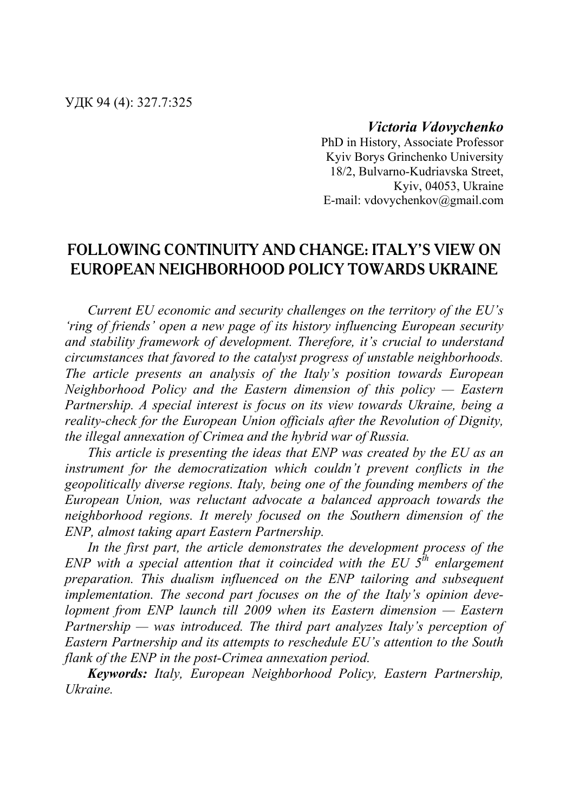## *Victoria Vdovychenko*

PhD in History, Associate Professor Kyiv Borys Grinchenko University 18/2, Bulvarno-Kudriavska Street, Kyiv, 04053, Ukraine E-mail: vdovychenkov@gmail.com

# **FOLLOWING CONTINUITY AND CHANGE: ITALY'S VIEW ON EUROPEAN NEIGHBORHOOD POLICY TOWARDS UKRAINE**

*Current EU economic and security challenges on the territory of the EU's 'ring of friends' open a new page of its history influencing European security and stability framework of development. Therefore, it's crucial to understand circumstances that favored to the catalyst progress of unstable neighborhoods. The article presents an analysis of the Italy's position towards European Neighborhood Policy and the Eastern dimension of this policy — Eastern Partnership. A special interest is focus on its view towards Ukraine, being a reality-check for the European Union officials after the Revolution of Dignity, the illegal annexation of Crimea and the hybrid war of Russia.* 

*This article is presenting the ideas that ENP was created by the EU as an instrument for the democratization which couldn't prevent conflicts in the geopolitically diverse regions. Italy, being one of the founding members of the European Union, was reluctant advocate a balanced approach towards the neighborhood regions. It merely focused on the Southern dimension of the ENP, almost taking apart Eastern Partnership.* 

*In the first part, the article demonstrates the development process of the ENP with a special attention that it coincided with the EU*  $5^{th}$  *enlargement preparation. This dualism influenced on the ENP tailoring and subsequent implementation. The second part focuses on the of the Italy's opinion development from ENP launch till 2009 when its Eastern dimension — Eastern Partnership — was introduced. The third part analyzes Italy's perception of Eastern Partnership and its attempts to reschedule EU's attention to the South flank of the ENP in the post-Crimea annexation period.* 

*Keywords: Italy, European Neighborhood Policy, Eastern Partnership, Ukraine.*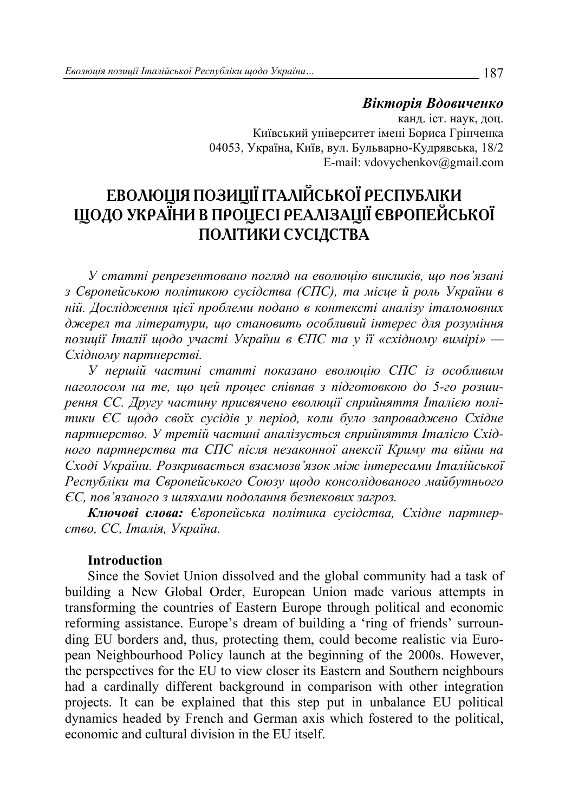### *Вікторія Вдовиченко* канд. іст. наук, доц. Київський університет імені Бориса Грінченка 04053, Україна, Київ, вул. Бульварно-Кудрявська, 18/2 E-mail: vdovychenkov@gmail.com

# **ЕВОЛЮЦІЯ ПОЗИЦІЇ ІТАЛІЙСЬКОЇ РЕСПУБЛІКИ ЩОДО УКРАЇНИ В ПРОЦЕСІ РЕАЛІЗАЦІЇ ЄВРОПЕЙСЬКОЇ ПОЛІТИКИ СУСІДСТВА**

*У статті репрезентовано погляд на еволюцію викликів, що пов'язані з Європейською політикою сусідства (ЄПС), та місце й роль України в ній. Дослідження цієї проблеми подано в контексті аналізу італомовних джерел та літератури, що становить особливий інтерес для розуміння позиції Італії щодо участі України в ЄПС та у її «східному вимірі» — Східному партнерстві.* 

*У першій частині статті показано еволюцію ЄПС із особливим наголосом на те, що цей процес співпав з підготовкою до 5-го розширення ЄС. Другу частину присвячено еволюції сприйняття Італією політики ЄС щодо своїх сусідів у період, коли було запроваджено Східне партнерство. У третій частині аналізується сприйняття Італією Східного партнерства та ЄПС після незаконної анексії Криму та війни на Сході України. Розкривається взаємозв'язок між інтересами Італійської Республіки та Європейського Союзу щодо консолідованого майбутнього ЄС, пов'язаного з шляхами подолання безпекових загроз.* 

*Ключові слова: Європейська політика сусідства, Східне партнерство, ЄС, Італія, Україна.* 

#### **Introduction**

Since the Soviet Union dissolved and the global community had a task of building a New Global Order, European Union made various attempts in transforming the countries of Eastern Europe through political and economic reforming assistance. Europe's dream of building a 'ring of friends' surrounding EU borders and, thus, protecting them, could become realistic via European Neighbourhood Policy launch at the beginning of the 2000s. However, the perspectives for the EU to view closer its Eastern and Southern neighbours had a cardinally different background in comparison with other integration projects. It can be explained that this step put in unbalance EU political dynamics headed by French and German axis which fostered to the political, economic and cultural division in the EU itself.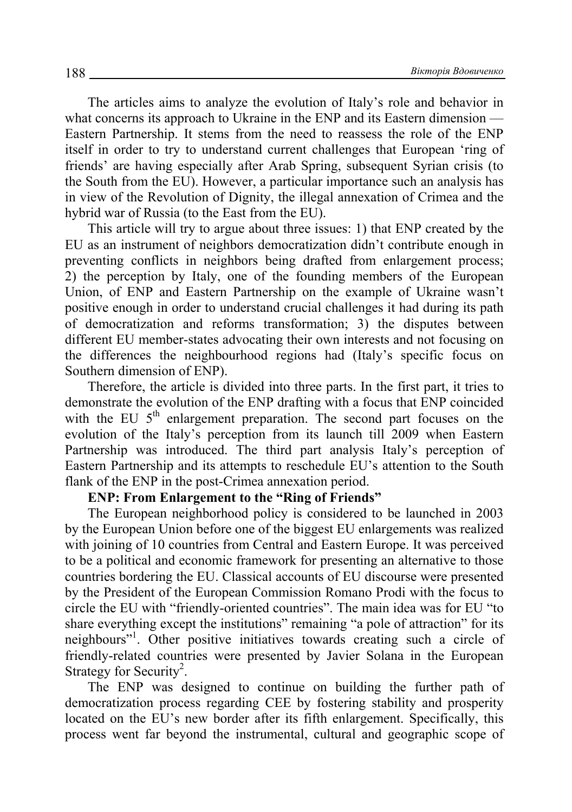The articles aims to analyze the evolution of Italy's role and behavior in what concerns its approach to Ukraine in the ENP and its Eastern dimension — Eastern Partnership. It stems from the need to reassess the role of the ENP itself in order to try to understand current challenges that European 'ring of friends' are having especially after Arab Spring, subsequent Syrian crisis (to the South from the EU). However, a particular importance such an analysis has in view of the Revolution of Dignity, the illegal annexation of Crimea and the hybrid war of Russia (to the East from the EU).

This article will try to argue about three issues: 1) that ENP created by the EU as an instrument of neighbors democratization didn't contribute enough in preventing conflicts in neighbors being drafted from enlargement process; 2) the perception by Italy, one of the founding members of the European Union, of ENP and Eastern Partnership on the example of Ukraine wasn't positive enough in order to understand crucial challenges it had during its path of democratization and reforms transformation; 3) the disputes between different EU member-states advocating their own interests and not focusing on the differences the neighbourhood regions had (Italy's specific focus on Southern dimension of ENP).

Therefore, the article is divided into three parts. In the first part, it tries to demonstrate the evolution of the ENP drafting with a focus that ENP coincided with the EU  $5<sup>th</sup>$  enlargement preparation. The second part focuses on the evolution of the Italy's perception from its launch till 2009 when Eastern Partnership was introduced. The third part analysis Italy's perception of Eastern Partnership and its attempts to reschedule EU's attention to the South flank of the ENP in the post-Crimea annexation period.

### **ENP: From Enlargement to the "Ring of Friends"**

The European neighborhood policy is considered to be launched in 2003 by the European Union before one of the biggest EU enlargements was realized with joining of 10 countries from Central and Eastern Europe. It was perceived to be a political and economic framework for presenting an alternative to those countries bordering the EU. Classical accounts of EU discourse were presented by the President of the European Commission Romano Prodi with the focus to circle the EU with "friendly-oriented countries". The main idea was for EU "to share everything except the institutions" remaining "a pole of attraction" for its neighbours"<sup>1</sup>. Other positive initiatives towards creating such a circle of friendly-related countries were presented by Javier Solana in the European Strategy for Security<sup>2</sup>.

The ENP was designed to continue on building the further path of democratization process regarding CEE by fostering stability and prosperity located on the EU's new border after its fifth enlargement. Specifically, this process went far beyond the instrumental, cultural and geographic scope of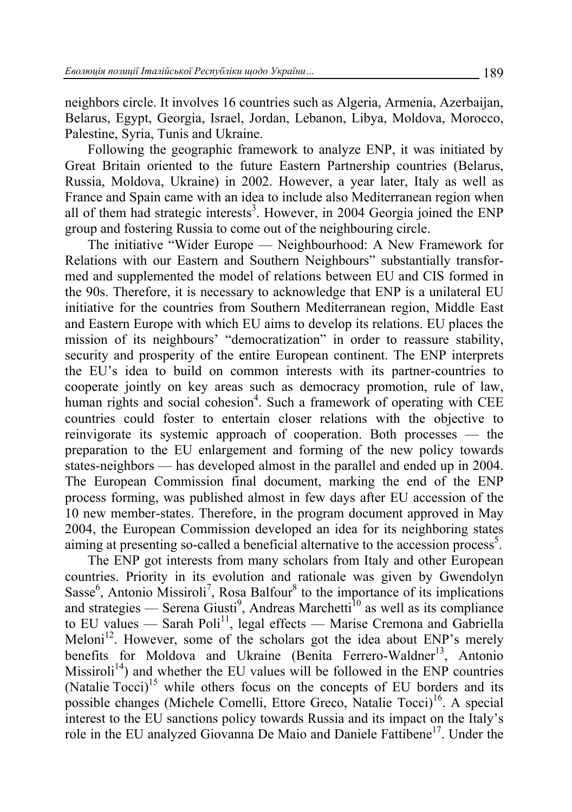neighbors circle. It involves 16 countries such as Algeria, Armenia, Azerbaijan, Belarus, Egypt, Georgia, Israel, Jordan, Lebanon, Libya, Moldova, Morocco, Palestine, Syria, Tunis and Ukraine.

Following the geographic framework to analyze ENP, it was initiated by Great Britain oriented to the future Eastern Partnership countries (Belarus, Russia, Moldova, Ukraine) in 2002. However, a year later, Italy as well as France and Spain came with an idea to include also Mediterranean region when all of them had strategic interests<sup>3</sup>. However, in 2004 Georgia joined the ENP group and fostering Russia to come out of the neighbouring circle.

The initiative "Wider Europe — Neighbourhood: A New Framework for Relations with our Eastern and Southern Neighbours" substantially transformed and supplemented the model of relations between EU and CIS formed in the 90s. Therefore, it is necessary to acknowledge that ENP is a unilateral EU initiative for the countries from Southern Mediterranean region, Middle East and Eastern Europe with which EU aims to develop its relations. EU places the mission of its neighbours' "democratization" in order to reassure stability, security and prosperity of the entire European continent. The ENP interprets the EU's idea to build on common interests with its partner-countries to cooperate jointly on key areas such as democracy promotion, rule of law, human rights and social cohesion<sup>4</sup>. Such a framework of operating with CEE countries could foster to entertain closer relations with the objective to reinvigorate its systemic approach of cooperation. Both processes — the preparation to the EU enlargement and forming of the new policy towards states-neighbors — has developed almost in the parallel and ended up in 2004. The European Commission final document, marking the end of the ENP process forming, was published almost in few days after EU accession of the 10 new member-states. Therefore, in the program document approved in May 2004, the European Commission developed an idea for its neighboring states aiming at presenting so-called a beneficial alternative to the accession process<sup>5</sup>.

The ENP got interests from many scholars from Italy and other European countries. Priority in its evolution and rationale was given by Gwendolyn Sasse<sup>6</sup>, Antonio Missiroli<sup>7</sup>, Rosa Balfour<sup>8</sup> to the importance of its implications and strategies — Serena Giusti<sup>9</sup>, Andreas Marchetti<sup>10</sup> as well as its compliance to EU values — Sarah Poli<sup>11</sup>, legal effects — Marise Cremona and Gabriella Meloni<sup>12</sup>. However, some of the scholars got the idea about ENP's merely benefits for Moldova and Ukraine (Benita Ferrero-Waldner<sup>13</sup>, Antonio Missiroli<sup>14</sup>) and whether the EU values will be followed in the ENP countries (Natalie Tocci)<sup>15</sup> while others focus on the concepts of EU borders and its possible changes (Michele Comelli, Ettore Greco, Natalie Tocci)<sup>16</sup>. A special interest to the EU sanctions policy towards Russia and its impact on the Italy's role in the EU analyzed Giovanna De Maio and Daniele Fattibene<sup>17</sup>. Under the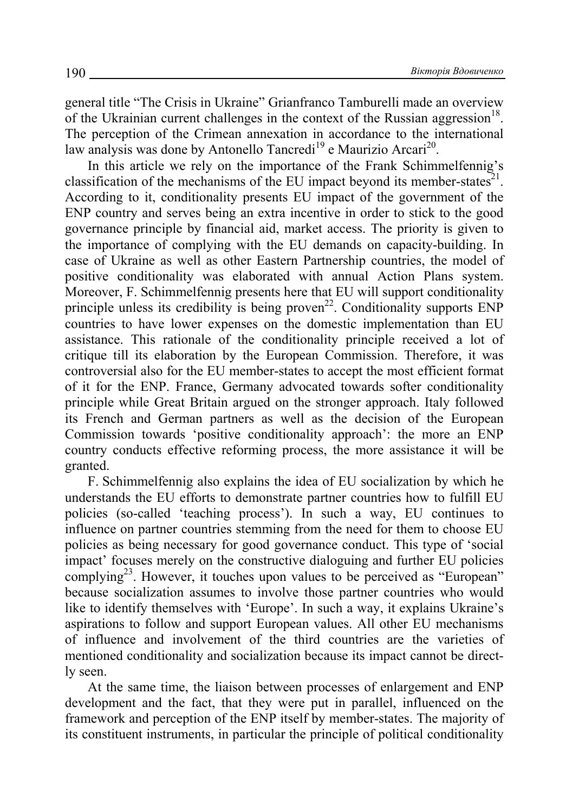general title "The Crisis in Ukraine" Grianfranco Tamburelli made an overview of the Ukrainian current challenges in the context of the Russian aggression<sup>18</sup>. The perception of the Crimean annexation in accordance to the international law analysis was done by Antonello Tancredi<sup>19</sup> e Maurizio Arcari<sup>20</sup>.

In this article we rely on the importance of the Frank Schimmelfennig's classification of the mechanisms of the EU impact beyond its member-states<sup>21</sup>. According to it, conditionality presents EU impact of the government of the ENP country and serves being an extra incentive in order to stick to the good governance principle by financial aid, market access. The priority is given to the importance of complying with the EU demands on capacity-building. In case of Ukraine as well as other Eastern Partnership countries, the model of positive conditionality was elaborated with annual Action Plans system. Moreover, F. Schimmelfennig presents here that EU will support conditionality principle unless its credibility is being proven<sup>22</sup>. Conditionality supports  $ENP$ countries to have lower expenses on the domestic implementation than EU assistance. This rationale of the conditionality principle received a lot of critique till its elaboration by the European Commission. Therefore, it was controversial also for the EU member-states to accept the most efficient format of it for the ENP. France, Germany advocated towards softer conditionality principle while Great Britain argued on the stronger approach. Italy followed its French and German partners as well as the decision of the European Commission towards 'positive conditionality approach': the more an ENP country conducts effective reforming process, the more assistance it will be granted.

F. Schimmelfennig also explains the idea of EU socialization by which he understands the EU efforts to demonstrate partner countries how to fulfill EU policies (so-called 'teaching process'). In such a way, EU continues to influence on partner countries stemming from the need for them to choose EU policies as being necessary for good governance conduct. This type of 'social impact' focuses merely on the constructive dialoguing and further EU policies complying<sup>23</sup>. However, it touches upon values to be perceived as "European" because socialization assumes to involve those partner countries who would like to identify themselves with 'Europe'. In such a way, it explains Ukraine's aspirations to follow and support European values. All other EU mechanisms of influence and involvement of the third countries are the varieties of mentioned conditionality and socialization because its impact cannot be directly seen.

At the same time, the liaison between processes of enlargement and ENP development and the fact, that they were put in parallel, influenced on the framework and perception of the ENP itself by member-states. The majority of its constituent instruments, in particular the principle of political conditionality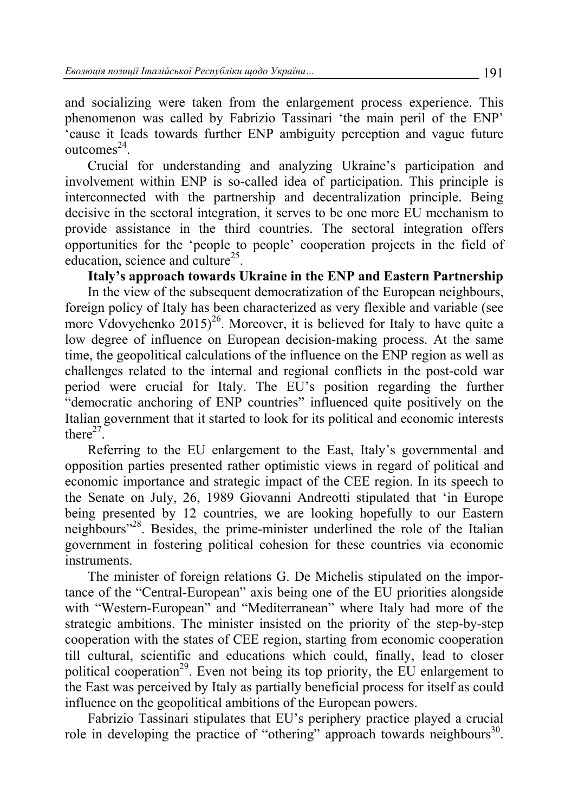and socializing were taken from the enlargement process experience. This phenomenon was called by Fabrizio Tassinari 'the main peril of the ENP' 'cause it leads towards further ENP ambiguity perception and vague future outcomes $^{24}$ .

Crucial for understanding and analyzing Ukraine's participation and involvement within ENP is so-called idea of participation. This principle is interconnected with the partnership and decentralization principle. Being decisive in the sectoral integration, it serves to be one more EU mechanism to provide assistance in the third countries. The sectoral integration offers opportunities for the 'people to people' cooperation projects in the field of education, science and culture<sup>25</sup>.

**Italy's approach towards Ukraine in the ENP and Eastern Partnership** 

In the view of the subsequent democratization of the European neighbours, foreign policy of Italy has been characterized as very flexible and variable (see more Vdovychenko  $2015)^{26}$ . Moreover, it is believed for Italy to have quite a low degree of influence on European decision-making process. At the same time, the geopolitical calculations of the influence on the ENP region as well as challenges related to the internal and regional conflicts in the post-cold war period were crucial for Italy. The EU's position regarding the further "democratic anchoring of ENP countries" influenced quite positively on the Italian government that it started to look for its political and economic interests there $27$ .

Referring to the EU enlargement to the East, Italy's governmental and opposition parties presented rather optimistic views in regard of political and economic importance and strategic impact of the CEE region. In its speech to the Senate on July, 26, 1989 Giovanni Andreotti stipulated that 'in Europe being presented by 12 countries, we are looking hopefully to our Eastern neighbours<sup>"28</sup>. Besides, the prime-minister underlined the role of the Italian government in fostering political cohesion for these countries via economic instruments.

The minister of foreign relations G. De Michelis stipulated on the importance of the "Central-European" axis being one of the EU priorities alongside with "Western-European" and "Mediterranean" where Italy had more of the strategic ambitions. The minister insisted on the priority of the step-by-step cooperation with the states of CEE region, starting from economic cooperation till cultural, scientific and educations which could, finally, lead to closer political cooperation<sup>29</sup>. Even not being its top priority, the EU enlargement to the East was perceived by Italy as partially beneficial process for itself as could influence on the geopolitical ambitions of the European powers.

Fabrizio Tassinari stipulates that EU's periphery practice played a crucial role in developing the practice of "othering" approach towards neighbours<sup>30</sup>.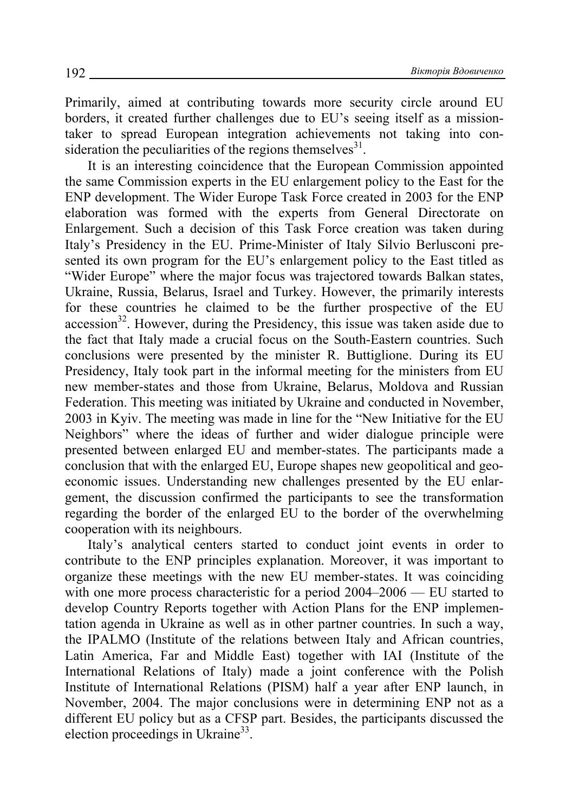Primarily, aimed at contributing towards more security circle around EU borders, it created further challenges due to EU's seeing itself as a missiontaker to spread European integration achievements not taking into consideration the peculiarities of the regions themselves $31$ .

It is an interesting coincidence that the European Commission appointed the same Commission experts in the EU enlargement policy to the East for the ENP development. The Wider Europe Таsk Force created in 2003 for the ENP elaboration was formed with the experts from General Directorate on Enlargement. Such a decision of this Task Force creation was taken during Italy's Presidency in the EU. Prime-Minister of Italy Silvio Berlusconi presented its own program for the EU's enlargement policy to the East titled as "Wider Europe" where the major focus was trajectored towards Balkan states, Ukraine, Russia, Belarus, Israel and Turkey. However, the primarily interests for these countries he claimed to be the further prospective of the EU  $accession<sup>32</sup>$ . However, during the Presidency, this issue was taken aside due to the fact that Italy made a crucial focus on the South-Eastern countries. Such conclusions were presented by the minister R. Buttiglione. During its EU Presidency, Italy took part in the informal meeting for the ministers from EU new member-states and those from Ukraine, Belarus, Moldova and Russian Federation. This meeting was initiated by Ukraine and conducted in November, 2003 in Kyiv. The meeting was made in line for the "New Initiative for the EU Neighbors" where the ideas of further and wider dialogue principle were presented between enlarged EU and member-states. The participants made a conclusion that with the enlarged EU, Europe shapes new geopolitical and geoeconomic issues. Understanding new challenges presented by the EU enlargement, the discussion confirmed the participants to see the transformation regarding the border of the enlarged EU to the border of the overwhelming cooperation with its neighbours.

Italy's analytical centers started to conduct joint events in order to contribute to the ENP principles explanation. Moreover, it was important to organize these meetings with the new EU member-states. It was coinciding with one more process characteristic for a period  $2004-2006$  — EU started to develop Country Reports together with Action Plans for the ENP implementation agenda in Ukraine as well as in other partner countries. In such a way, the IPALMO (Institute of the relations between Italy and African countries, Latin America, Far and Middle East) together with IAI (Institute of the International Relations of Italy) made a joint conference with the Polish Institute of International Relations (PISM) half a year after ENP launch, in November, 2004. The major conclusions were in determining ENP not as a different EU policy but as a CFSP part. Besides, the participants discussed the election proceedings in Ukraine<sup>33</sup>.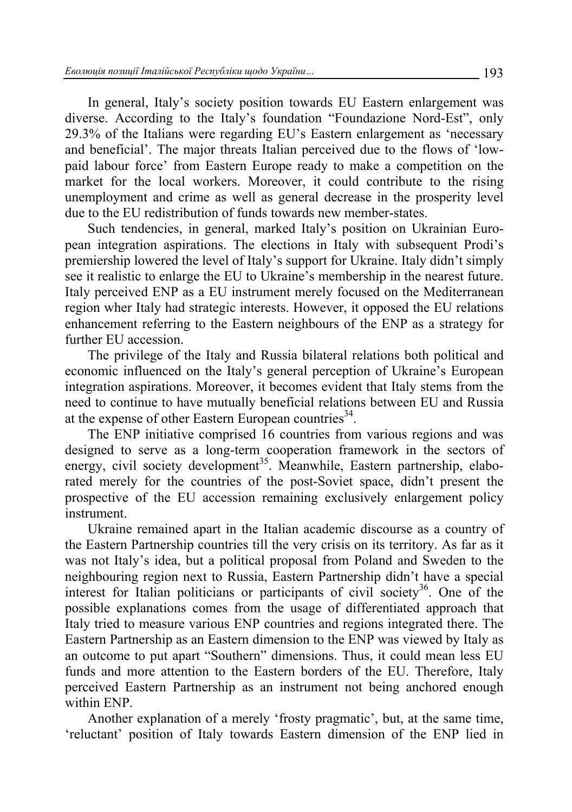In general, Italy's society position towards EU Eastern enlargement was diverse. According to the Italy's foundation "Foundazione Nord-Est", only 29.3% of the Italians were regarding EU's Eastern enlargement as 'necessary and beneficial'. The major threats Italian perceived due to the flows of 'lowpaid labour force' from Eastern Europe ready to make a competition on the market for the local workers. Moreover, it could contribute to the rising unemployment and crime as well as general decrease in the prosperity level due to the EU redistribution of funds towards new member-states.

Such tendencies, in general, marked Italy's position on Ukrainian European integration aspirations. The elections in Italy with subsequent Prodi's premiership lowered the level of Italy's support for Ukraine. Italy didn't simply see it realistic to enlarge the EU to Ukraine's membership in the nearest future. Italy perceived ENP as a EU instrument merely focused on the Mediterranean region wher Italy had strategic interests. However, it opposed the EU relations enhancement referring to the Eastern neighbours of the ENP as a strategy for further EU accession.

The privilege of the Italy and Russia bilateral relations both political and economic influenced on the Italy's general perception of Ukraine's European integration aspirations. Moreover, it becomes evident that Italy stems from the need to continue to have mutually beneficial relations between EU and Russia at the expense of other Eastern European countries<sup>34</sup>.

The ENP initiative comprised 16 countries from various regions and was designed to serve as a long-term cooperation framework in the sectors of energy, civil society development<sup>35</sup>. Meanwhile, Eastern partnership, elaborated merely for the countries of the post-Soviet space, didn't present the prospective of the EU accession remaining exclusively enlargement policy instrument.

Ukraine remained apart in the Italian academic discourse as a country of the Eastern Partnership countries till the very crisis on its territory. As far as it was not Italy's idea, but a political proposal from Poland and Sweden to the neighbouring region next to Russia, Eastern Partnership didn't have a special interest for Italian politicians or participants of civil society<sup>36</sup>. One of the possible explanations comes from the usage of differentiated approach that Italy tried to measure various ENP countries and regions integrated there. The Eastern Partnership as an Eastern dimension to the ENP was viewed by Italy as an outcome to put apart "Southern" dimensions. Thus, it could mean less EU funds and more attention to the Eastern borders of the EU. Therefore, Italy perceived Eastern Partnership as an instrument not being anchored enough within ENP.

Another explanation of a merely 'frosty pragmatic', but, at the same time, 'reluctant' position of Italy towards Eastern dimension of the ENP lied in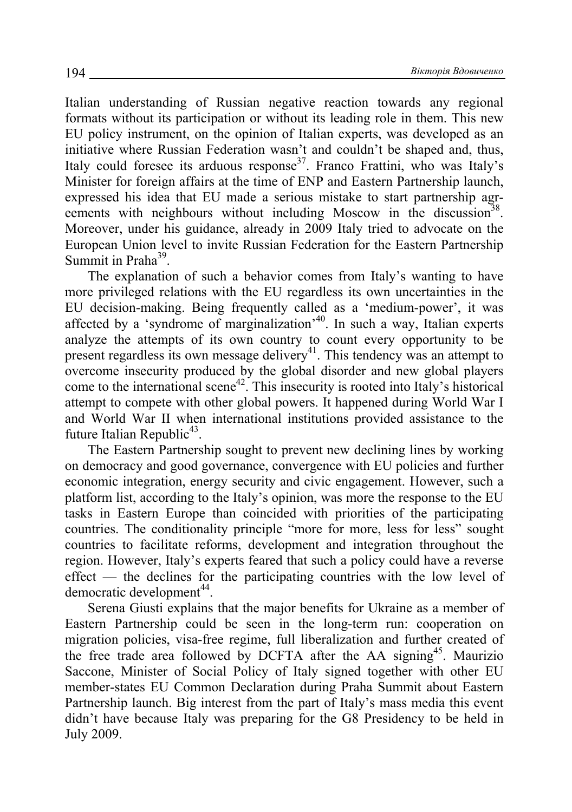Italian understanding of Russian negative reaction towards any regional formats without its participation or without its leading role in them. This new EU policy instrument, on the opinion of Italian experts, was developed as an initiative where Russian Federation wasn't and couldn't be shaped and, thus, Italy could foresee its arduous response<sup>37</sup>. Franco Frattini, who was Italy's Minister for foreign affairs at the time of ENP and Eastern Partnership launch, expressed his idea that EU made a serious mistake to start partnership agreements with neighbours without including Moscow in the discussion<sup>38</sup>. Moreover, under his guidance, already in 2009 Italy tried to advocate on the European Union level to invite Russian Federation for the Eastern Partnership Summit in Praha $39$ .

The explanation of such a behavior comes from Italy's wanting to have more privileged relations with the EU regardless its own uncertainties in the EU decision-making. Being frequently called as a 'medium-power', it was affected by a 'syndrome of marginalization'<sup>40</sup>. In such a way, Italian experts analyze the attempts of its own country to count every opportunity to be present regardless its own message delivery<sup>41</sup>. This tendency was an attempt to overcome insecurity produced by the global disorder and new global players come to the international scene42. This insecurity is rooted into Italy's historical attempt to compete with other global powers. It happened during World War I and World War II when international institutions provided assistance to the future Italian Republic<sup>43</sup>.

The Eastern Partnership sought to prevent new declining lines by working on democracy and good governance, convergence with EU policies and further economic integration, energy security and civic engagement. However, such a platform list, according to the Italy's opinion, was more the response to the EU tasks in Eastern Europe than coincided with priorities of the participating countries. The conditionality principle "more for more, less for less" sought countries to facilitate reforms, development and integration throughout the region. However, Italy's experts feared that such a policy could have a reverse effect — the declines for the participating countries with the low level of democratic development $44$ .

Serena Giusti explains that the major benefits for Ukraine as a member of Eastern Partnership could be seen in the long-term run: cooperation on migration policies, visa-free regime, full liberalization and further created of the free trade area followed by DCFTA after the AA signing<sup>45</sup>. Maurizio Saccone, Minister of Social Policy of Italy signed together with other EU member-states EU Common Declaration during Praha Summit about Eastern Partnership launch. Big interest from the part of Italy's mass media this event didn't have because Italy was preparing for the G8 Presidency to be held in July 2009.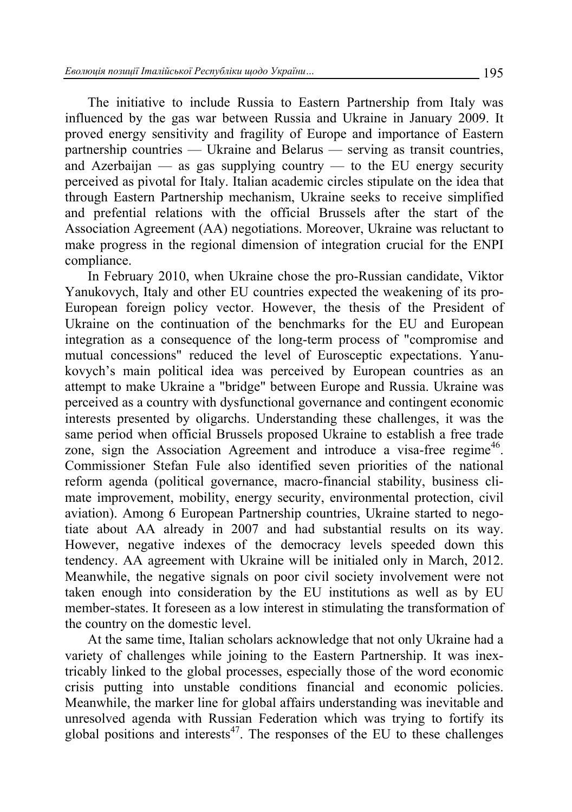The initiative to include Russia to Eastern Partnership from Italy was influenced by the gas war between Russia and Ukraine in January 2009. It proved energy sensitivity and fragility of Europe and importance of Eastern partnership countries — Ukraine and Belarus — serving as transit countries, and Azerbaijan — as gas supplying country — to the EU energy security perceived as pivotal for Italy. Italian academic circles stipulate on the idea that through Eastern Partnership mechanism, Ukraine seeks to receive simplified and prefential relations with the official Brussels after the start of the Association Agreement (AA) negotiations. Moreover, Ukraine was reluctant to make progress in the regional dimension of integration crucial for the ENPI compliance.

In February 2010, when Ukraine chose the pro-Russian candidate, Viktor Yanukovych, Italy and other EU countries expected the weakening of its pro-European foreign policy vector. However, the thesis of the President of Ukraine on the continuation of the benchmarks for the EU and European integration as a consequence of the long-term process of "compromise and mutual concessions" reduced the level of Eurosceptic expectations. Yanukovych's main political idea was perceived by European countries as an attempt to make Ukraine a "bridge" between Europe and Russia. Ukraine was perceived as a country with dysfunctional governance and contingent economic interests presented by oligarchs. Understanding these challenges, it was the same period when official Brussels proposed Ukraine to establish a free trade zone, sign the Association Agreement and introduce a visa-free regime<sup>46</sup>. Commissioner Stefan Fule also identified seven priorities of the national reform agenda (political governance, macro-financial stability, business climate improvement, mobility, energy security, environmental protection, civil aviation). Among 6 European Partnership countries, Ukraine started to negotiate about AA already in 2007 and had substantial results on its way. However, negative indexes of the democracy levels speeded down this tendency. AA agreement with Ukraine will be initialed only in March, 2012. Meanwhile, the negative signals on poor civil society involvement were not taken enough into consideration by the EU institutions as well as by EU member-states. It foreseen as a low interest in stimulating the transformation of the country on the domestic level.

At the same time, Italian scholars acknowledge that not only Ukraine had a variety of challenges while joining to the Eastern Partnership. It was inextricably linked to the global processes, especially those of the word economic crisis putting into unstable conditions financial and economic policies. Meanwhile, the marker line for global affairs understanding was inevitable and unresolved agenda with Russian Federation which was trying to fortify its global positions and interests $47$ . The responses of the EU to these challenges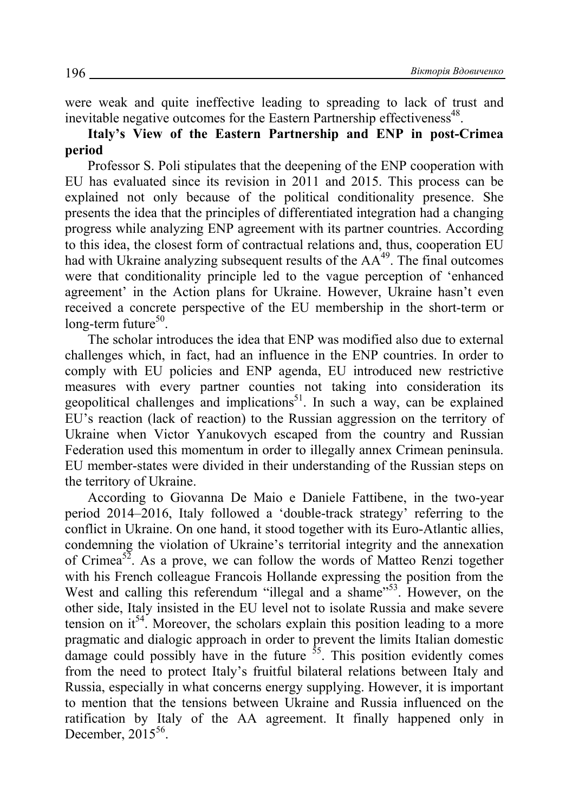were weak and quite ineffective leading to spreading to lack of trust and inevitable negative outcomes for the Eastern Partnership effectiveness<sup>48</sup>.

**Italy's View of the Eastern Partnership and ENP in post-Crimea period** 

Professor S. Poli stipulates that the deepening of the ENP cooperation with EU has evaluated since its revision in 2011 and 2015. This process can be explained not only because of the political conditionality presence. She presents the idea that the principles of differentiated integration had a changing progress while analyzing ENP agreement with its partner countries. According to this idea, the closest form of contractual relations and, thus, cooperation EU had with Ukraine analyzing subsequent results of the  $AA<sup>49</sup>$ . The final outcomes were that conditionality principle led to the vague perception of 'enhanced agreement' in the Action plans for Ukraine. However, Ukraine hasn't even received a concrete perspective of the EU membership in the short-term or long-term future $50$ .

The scholar introduces the idea that ENP was modified also due to external challenges which, in fact, had an influence in the ENP countries. In order to comply with EU policies and ENP agenda, EU introduced new restrictive measures with every partner counties not taking into consideration its geopolitical challenges and implications<sup>51</sup>. In such a way, can be explained EU's reaction (lack of reaction) to the Russian aggression on the territory of Ukraine when Victor Yanukovych escaped from the country and Russian Federation used this momentum in order to illegally annex Crimean peninsula. EU member-states were divided in their understanding of the Russian steps on the territory of Ukraine.

According to Giovanna De Maio e Daniele Fattibene, in the two-year period 2014–2016, Italy followed a 'double-track strategy' referring to the conflict in Ukraine. On one hand, it stood together with its Euro-Atlantic allies, condemning the violation of Ukraine's territorial integrity and the annexation of Crimea<sup>52</sup>. As a prove, we can follow the words of Matteo Renzi together with his French colleague Francois Hollande expressing the position from the West and calling this referendum "illegal and a shame"<sup>53</sup>. However, on the other side, Italy insisted in the EU level not to isolate Russia and make severe tension on  $it^{54}$ . Moreover, the scholars explain this position leading to a more pragmatic and dialogic approach in order to prevent the limits Italian domestic damage could possibly have in the future  $\frac{55}{2}$ . This position evidently comes from the need to protect Italy's fruitful bilateral relations between Italy and Russia, especially in what concerns energy supplying. However, it is important to mention that the tensions between Ukraine and Russia influenced on the ratification by Italy of the AA agreement. It finally happened only in December,  $2015^{56}$ .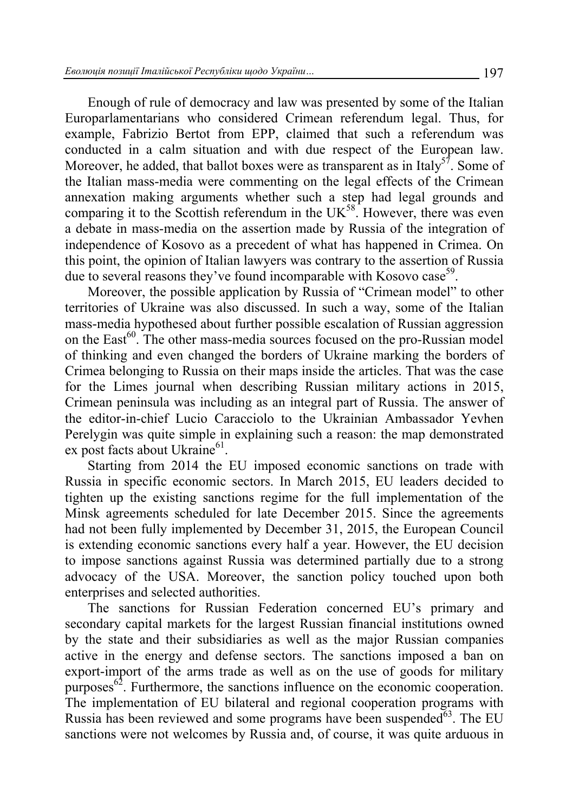Enough of rule of democracy and law was presented by some of the Italian Europarlamentarians who considered Crimean referendum legal. Thus, for example, Fabrizio Bertot from EPP, claimed that such a referendum was conducted in a calm situation and with due respect of the European law. Moreover, he added, that ballot boxes were as transparent as in Italy<sup>57</sup>. Some of the Italian mass-media were commenting on the legal effects of the Crimean annexation making arguments whether such a step had legal grounds and comparing it to the Scottish referendum in the  $UK<sup>58</sup>$ . However, there was even a debate in mass-media on the assertion made by Russia of the integration of independence of Kosovo as a precedent of what has happened in Crimea. On this point, the opinion of Italian lawyers was contrary to the assertion of Russia due to several reasons they've found incomparable with Kosovo case<sup>59</sup>.

Moreover, the possible application by Russia of "Crimean model" to other territories of Ukraine was also discussed. In such a way, some of the Italian mass-media hypothesed about further possible escalation of Russian aggression on the East<sup>60</sup>. The other mass-media sources focused on the pro-Russian model of thinking and even changed the borders of Ukraine marking the borders of Crimea belonging to Russia on their maps inside the articles. That was the case for the Limes journal when describing Russian military actions in 2015, Crimean peninsula was including as an integral part of Russia. The answer of the editor-in-chief Lucio Caracciolo to the Ukrainian Ambassador Yevhen Perelygin was quite simple in explaining such a reason: the map demonstrated ex post facts about Ukraine<sup>61</sup>.

Starting from 2014 the EU imposed economic sanctions on trade with Russia in specific economic sectors. In March 2015, EU leaders decided to tighten up the existing sanctions regime for the full implementation of the Minsk agreements scheduled for late December 2015. Since the agreements had not been fully implemented by December 31, 2015, the European Council is extending economic sanctions every half a year. However, the EU decision to impose sanctions against Russia was determined partially due to a strong advocacy of the USA. Moreover, the sanction policy touched upon both enterprises and selected authorities.

The sanctions for Russian Federation concerned EU's primary and secondary capital markets for the largest Russian financial institutions owned by the state and their subsidiaries as well as the major Russian companies active in the energy and defense sectors. The sanctions imposed a ban on export-import of the arms trade as well as on the use of goods for military purposes $62$ . Furthermore, the sanctions influence on the economic cooperation. The implementation of EU bilateral and regional cooperation programs with Russia has been reviewed and some programs have been suspended $63$ . The EU sanctions were not welcomes by Russia and, of course, it was quite arduous in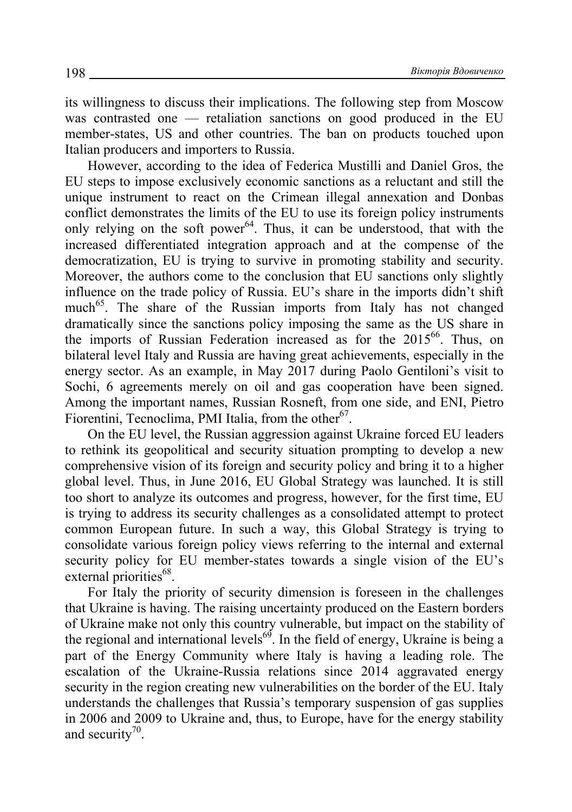its willingness to discuss their implications. The following step from Moscow was contrasted one — retaliation sanctions on good produced in the EU member-states, US and other countries. The ban on products touched upon Italian producers and importers to Russia.

However, according to the idea of Federica Mustilli and Daniel Gros, the EU steps to impose exclusively economic sanctions as a reluctant and still the unique instrument to react on the Crimean illegal annexation and Donbas conflict demonstrates the limits of the EU to use its foreign policy instruments only relying on the soft power<sup>64</sup>. Thus, it can be understood, that with the increased differentiated integration approach and at the compense of the democratization, EU is trying to survive in promoting stability and security. Moreover, the authors come to the conclusion that EU sanctions only slightly influence on the trade policy of Russia. EU's share in the imports didn't shift much<sup>65</sup>. The share of the Russian imports from Italy has not changed dramatically since the sanctions policy imposing the same as the US share in the imports of Russian Federation increased as for the 2015<sup>66</sup>. Thus, on bilateral level Italy and Russia are having great achievements, especially in the energy sector. As an example, in May 2017 during Paolo Gentiloni's visit to Sochi, 6 agreements merely on oil and gas cooperation have been signed. Among the important names, Russian Rosneft, from one side, and ENI, Pietro Fiorentini, Tecnoclima, PMI Italia, from the other $67$ .

On the EU level, the Russian aggression against Ukraine forced EU leaders to rethink its geopolitical and security situation prompting to develop a new comprehensive vision of its foreign and security policy and bring it to a higher global level. Thus, in June 2016, EU Global Strategy was launched. It is still too short to analyze its outcomes and progress, however, for the first time, EU is trying to address its security challenges as a consolidated attempt to protect common European future. In such a way, this Global Strategy is trying to consolidate various foreign policy views referring to the internal and external security policy for EU member-states towards a single vision of the EU's  $external$  priorities<sup>68</sup>.

For Italy the priority of security dimension is foreseen in the challenges that Ukraine is having. The raising uncertainty produced on the Eastern borders of Ukraine make not only this country vulnerable, but impact on the stability of the regional and international levels<sup>69</sup>. In the field of energy, Ukraine is being a part of the Energy Community where Italy is having a leading role. The escalation of the Ukraine-Russia relations since 2014 aggravated energy security in the region creating new vulnerabilities on the border of the EU. Italy understands the challenges that Russia's temporary suspension of gas supplies in 2006 and 2009 to Ukraine and, thus, to Europe, have for the energy stability and security $70$ .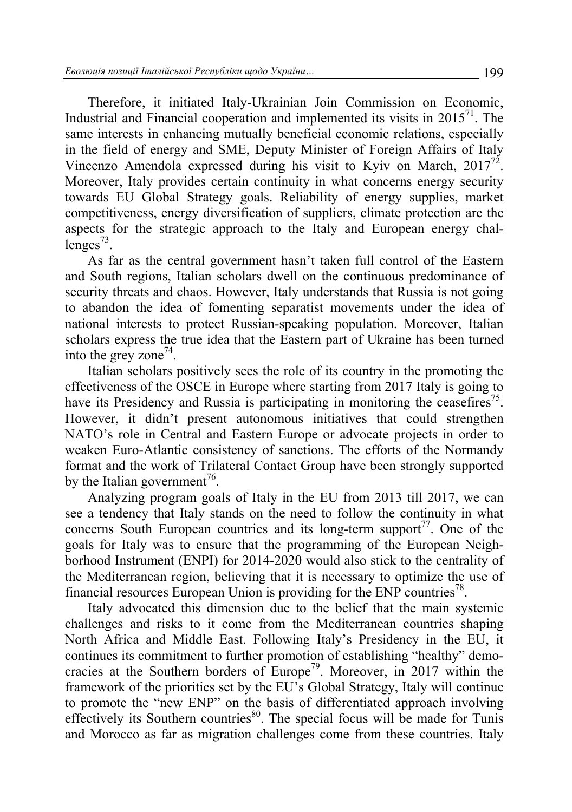Therefore, it initiated Italy-Ukrainian Join Commission on Economic, Industrial and Financial cooperation and implemented its visits in  $2015<sup>71</sup>$ . The same interests in enhancing mutually beneficial economic relations, especially in the field of energy and SME, Deputy Minister of Foreign Affairs of Italy Vincenzo Amendola expressed during his visit to Kyiv on March,  $2017^{72}$ . Moreover, Italy provides certain continuity in what concerns energy security towards EU Global Strategy goals. Reliability of energy supplies, market competitiveness, energy diversification of suppliers, climate protection are the aspects for the strategic approach to the Italy and European energy challenges $^{73}$ .

As far as the central government hasn't taken full control of the Eastern and South regions, Italian scholars dwell on the continuous predominance of security threats and chaos. However, Italy understands that Russia is not going to abandon the idea of fomenting separatist movements under the idea of national interests to protect Russian-speaking population. Moreover, Italian scholars express the true idea that the Eastern part of Ukraine has been turned into the grey zone<sup>74</sup>.

Italian scholars positively sees the role of its country in the promoting the effectiveness of the OSCE in Europe where starting from 2017 Italy is going to have its Presidency and Russia is participating in monitoring the ceasefires<sup>75</sup>. However, it didn't present autonomous initiatives that could strengthen NATO's role in Central and Eastern Europe or advocate projects in order to weaken Euro-Atlantic consistency of sanctions. The efforts of the Normandy format and the work of Trilateral Contact Group have been strongly supported by the Italian government<sup> $6$ </sup>.

Analyzing program goals of Italy in the EU from 2013 till 2017, we can see a tendency that Italy stands on the need to follow the continuity in what concerns South European countries and its long-term support<sup>77</sup>. One of the goals for Italy was to ensure that the programming of the European Neighborhood Instrument (ENPI) for 2014-2020 would also stick to the centrality of the Mediterranean region, believing that it is necessary to optimize the use of financial resources European Union is providing for the ENP countries<sup>78</sup>.

Italy advocated this dimension due to the belief that the main systemic challenges and risks to it come from the Mediterranean countries shaping North Africa and Middle East. Following Italy's Presidency in the EU, it continues its commitment to further promotion of establishing "healthy" democracies at the Southern borders of Europe<sup>79</sup>. Moreover, in 2017 within the framework of the priorities set by the EU's Global Strategy, Italy will continue to promote the "new ENP" on the basis of differentiated approach involving effectively its Southern countries $80$ . The special focus will be made for Tunis and Morocco as far as migration challenges come from these countries. Italy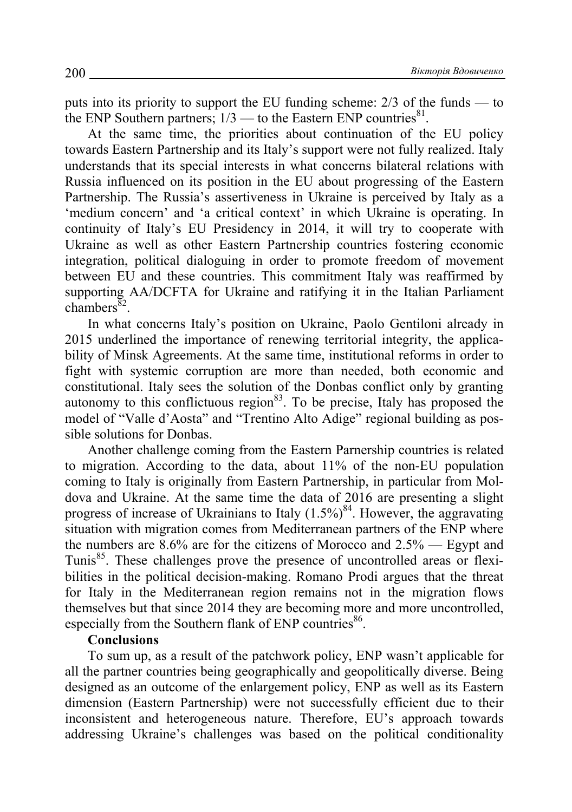puts into its priority to support the EU funding scheme: 2/3 of the funds — to the ENP Southern partners;  $1/3$  — to the Eastern ENP countries<sup>81</sup>.

At the same time, the priorities about continuation of the EU policy towards Eastern Partnership and its Italy's support were not fully realized. Italy understands that its special interests in what concerns bilateral relations with Russia influenced on its position in the EU about progressing of the Eastern Partnership. The Russia's assertiveness in Ukraine is perceived by Italy as a 'medium concern' and 'a critical context' in which Ukraine is operating. In continuity of Italy's EU Presidency in 2014, it will try to cooperate with Ukraine as well as other Eastern Partnership countries fostering economic integration, political dialoguing in order to promote freedom of movement between EU and these countries. This commitment Italy was reaffirmed by supporting AA/DCFTA for Ukraine and ratifying it in the Italian Parliament  $chambers^{\overline{8}2}$ .

In what concerns Italy's position on Ukraine, Paolo Gentiloni already in 2015 underlined the importance of renewing territorial integrity, the applicability of Minsk Agreements. At the same time, institutional reforms in order to fight with systemic corruption are more than needed, both economic and constitutional. Italy sees the solution of the Donbas conflict only by granting autonomy to this conflictuous region<sup>83</sup>. To be precise, Italy has proposed the model of "Valle d'Aosta" and "Trentino Alto Adige" regional building as possible solutions for Donbas.

Another challenge coming from the Eastern Parnership countries is related to migration. According to the data, about 11% of the non-EU population coming to Italy is originally from Eastern Partnership, in particular from Moldova and Ukraine. At the same time the data of 2016 are presenting a slight progress of increase of Ukrainians to Italy  $(1.5\%)^{84}$ . However, the aggravating situation with migration comes from Mediterranean partners of the ENP where the numbers are 8.6% are for the citizens of Morocco and 2.5% — Egypt and Tunis<sup>85</sup>. These challenges prove the presence of uncontrolled areas or flexibilities in the political decision-making. Romano Prodi argues that the threat for Italy in the Mediterranean region remains not in the migration flows themselves but that since 2014 they are becoming more and more uncontrolled, especially from the Southern flank of ENP countries<sup>86</sup>.

#### **Conclusions**

To sum up, as a result of the patchwork policy, ENP wasn't applicable for all the partner countries being geographically and geopolitically diverse. Being designed as an outcome of the enlargement policy, ENP as well as its Eastern dimension (Eastern Partnership) were not successfully efficient due to their inconsistent and heterogeneous nature. Therefore, EU's approach towards addressing Ukraine's challenges was based on the political conditionality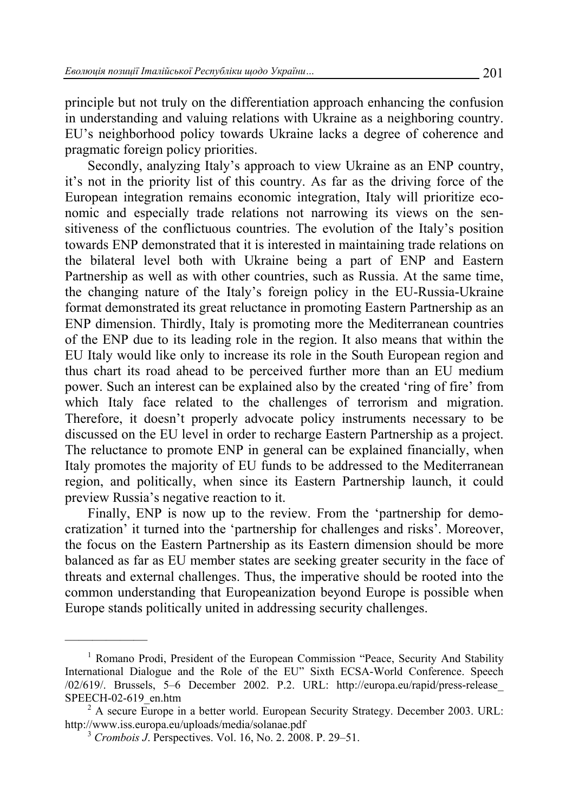principle but not truly on the differentiation approach enhancing the confusion in understanding and valuing relations with Ukraine as a neighboring country. EU's neighborhood policy towards Ukraine lacks a degree of coherence and pragmatic foreign policy priorities.

Secondly, analyzing Italy's approach to view Ukraine as an ENP country, it's not in the priority list of this country. As far as the driving force of the European integration remains economic integration, Italy will prioritize economic and especially trade relations not narrowing its views on the sensitiveness of the conflictuous countries. The evolution of the Italy's position towards ENP demonstrated that it is interested in maintaining trade relations on the bilateral level both with Ukraine being a part of ENP and Eastern Partnership as well as with other countries, such as Russia. At the same time, the changing nature of the Italy's foreign policy in the EU-Russia-Ukraine format demonstrated its great reluctance in promoting Eastern Partnership as an ENP dimension. Thirdly, Italy is promoting more the Mediterranean countries of the ENP due to its leading role in the region. It also means that within the EU Italy would like only to increase its role in the South European region and thus chart its road ahead to be perceived further more than an EU medium power. Such an interest can be explained also by the created 'ring of fire' from which Italy face related to the challenges of terrorism and migration. Therefore, it doesn't properly advocate policy instruments necessary to be discussed on the EU level in order to recharge Eastern Partnership as a project. The reluctance to promote ENP in general can be explained financially, when Italy promotes the majority of EU funds to be addressed to the Mediterranean region, and politically, when since its Eastern Partnership launch, it could preview Russia's negative reaction to it.

Finally, ENP is now up to the review. From the 'partnership for democratization' it turned into the 'partnership for challenges and risks'. Moreover, the focus on the Eastern Partnership as its Eastern dimension should be more balanced as far as EU member states are seeking greater security in the face of threats and external challenges. Thus, the imperative should be rooted into the common understanding that Europeanization beyond Europe is possible when Europe stands politically united in addressing security challenges.

<sup>—————— 1</sup> Romano Prodi, President of the European Commission "Peace, Security And Stability International Dialogue and the Role of the EU" Sixth ECSA-World Conference. Speech /02/619/. Brussels, 5–6 December 2002. P.2. URL: http://europa.eu/rapid/press-release\_ SPEECH-02-619\_en.htm

 $^2$  A secure Europe in a better world. European Security Strategy. December 2003. URL: http://www.iss.europa.eu/uploads/media/solanae.pdf 3 *Crombois J*. Perspectives. Vol. 16, No. 2. 2008. P. 29–51.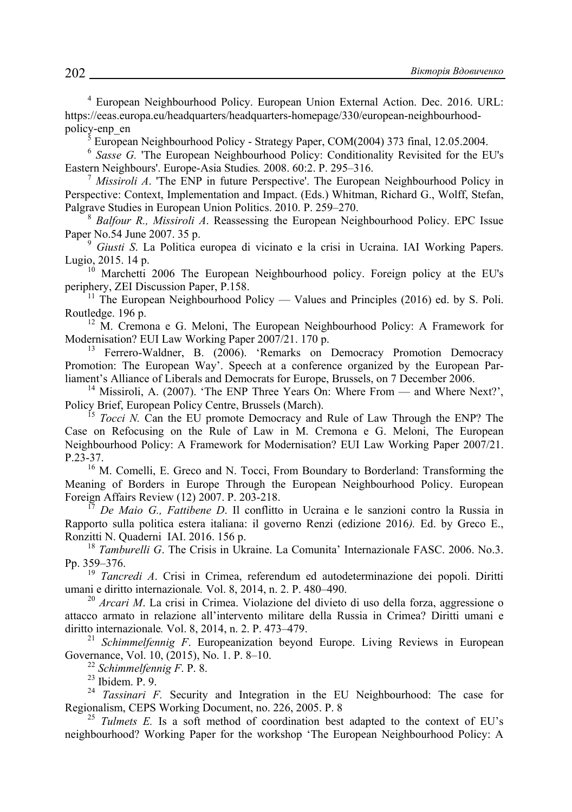4 European Neighbourhood Policy. European Union External Action. Dec. 2016. URL: https://eeas.europa.eu/headquarters/headquarters-homepage/330/european-neighbourhoodpolicy-enp\_en

European Neighbourhood Policy - Strategy Paper, COM(2004) 373 final, 12.05.2004.

<sup>6</sup> *Sasse G.* 'The European Neighbourhood Policy: Conditionality Revisited for the EU's Eastern Neighbours'. Europe-Asia Studies*.* 2008. 60:2. P. 295–316. 7

 *Missiroli A*. 'The ENP in future Perspective'. The European Neighbourhood Policy in Perspective: Context, Implementation and Impact. (Eds.) Whitman, Richard G., Wolff, Stefan, Palgrave Studies in European Union Politics. 2010. P. 259–270.

 *Balfour R., Missiroli A*. Reassessing the European Neighbourhood Policy. EPC Issue Paper No.54 June 2007. 35 p.

 *Giusti S*. La Politica europea di vicinato e la crisi in Ucraina. IAI Working Papers. Lugio, 2015. 14 p.<br> $\frac{10}{10}$  Marchetti 2006 The European Neighbourhood policy. Foreign policy at the EU's

periphery, ZEI Discussion Paper, P.158.<br><sup>11</sup> The European Neighbourhood Policy — Values and Principles (2016) ed. by S. Poli.

Routledge. 196 p.<br><sup>12</sup> M. Cremona e G. Meloni, The European Neighbourhood Policy: A Framework for

Modernisation? EUI Law Working Paper 2007/21. 170 p.<br><sup>13</sup> Ferrero-Waldner, B. (2006). 'Remarks on Democracy Promotion Democracy

Promotion: The European Way'. Speech at a conference organized by the European Parliament's Alliance of Liberals and Democrats for Europe, Brussels, on 7 December 2006.<br><sup>14</sup> Missiroli, A. (2007). 'The ENP Three Years On: Where From — and Where Next?',

Policy Brief, European Policy Centre, Brussels (March).<br><sup>15</sup> *Tocci N*. Can the EU promote Democracy and Rule of Law Through the ENP? The

Case on Refocusing on the Rule of Law in M. Cremona e G. Meloni, The European Neighbourhood Policy: A Framework for Modernisation? EUI Law Working Paper 2007/21. P.23-37.<br><sup>16</sup> M. Comelli, E. Greco and N. Tocci, From Boundary to Borderland: Transforming the

Meaning of Borders in Europe Through the European Neighbourhood Policy. European Foreign Affairs Review (12) 2007. P. 203-218.

Foreign Affairs Review (12) 2007. P. 203-218. 17 *De Maio G., Fattibene D*. Il conflitto in Ucraina e le sanzioni contro la Russia in Rapporto sulla politica estera italiana: il governo Renzi (edizione 2016*).* Ed. by Greco E., Ronzitti N. Quaderni IAI. 2016. 156 p. 18 *Tamburelli G*. The Crisis in Ukraine. La Comunita' Internazionale FASC. 2006. No.3.

Pp. 359–376. 19 *Tancredi A*. Crisi in Crimea, referendum ed autodeterminazione dei popoli. Diritti

umani e diritto internazionale*.* Vol. 8, 2014, n. 2. P. 480–490. 20 *Arcari M*. La crisi in Crimea. Violazione del divieto di uso della forza, aggressione o

attacco armato in relazione all'intervento militare della Russia in Crimea? Diritti umani e diritto internazionale. Vol. 8, 2014, n. 2. P. 473–479.<br><sup>21</sup> *Schimmelfennig F.* Europeanization beyond Europe. Living Reviews in European

Governance, Vol. 10, (2015), No. 1. P. 8–10. 22 *Schimmelfennig F*. P. 8. 23 Ibidem. P. 9.

<sup>24</sup> *Tassinari F.* Security and Integration in the EU Neighbourhood: The case for Regionalism, CEPS Working Document, no. 226, 2005. P. 8<br><sup>25</sup> *Tulmets E.* Is a soft method of coordination best adapted to the context of EU's

neighbourhood? Working Paper for the workshop 'The European Neighbourhood Policy: A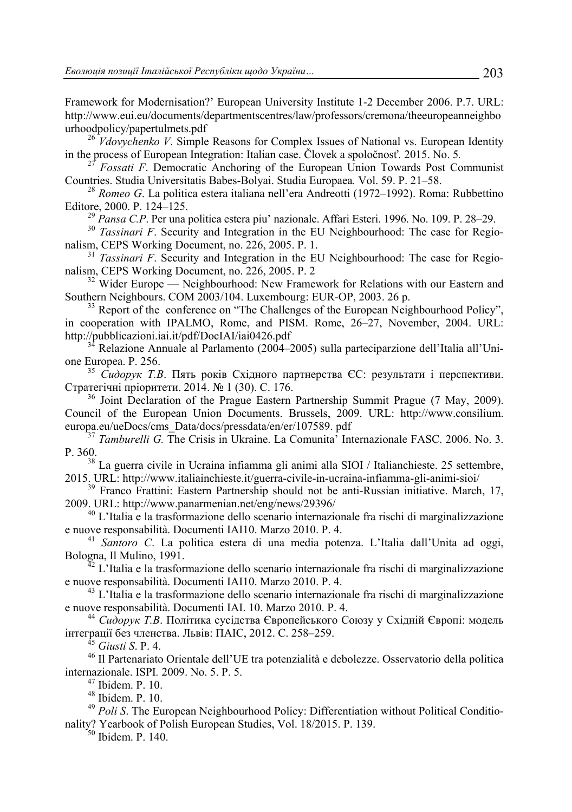Framework for Modernisation?' European University Institute 1-2 December 2006. P.7. URL: http://www.eui.eu/documents/departmentscentres/law/professors/cremona/theeuropeanneighbo

urhoodpolicy/papertulmets.pdf<br><sup>26</sup> *Vdovychenko V*. Simple Reasons for Complex Issues of National vs. European Identity<br>in the process of European Integration: Italian case. Clovek a spoločnosť. 2015. No. 5.

<sup>27</sup> Fossati F. Democratic Anchoring of the European Union Towards Post Communist<br>Countries. Studia Universitatis Babes-Bolyai. Studia Europaea. Vol. 59. P. 21–58.

<sup>28</sup> Romeo G. La politica estera italiana nell'era Andreotti (1972–1992). Roma: Rubbettino Editore, 2000. P. 124–125. 29 *Pansa C.P*. Per una politica estera piu' nazionale. Affari Esteri. 1996. No. 109. P. 28–29. 30 *Tassinari F*. Security and Integration in the EU Neighbourhood: The case for Regio-

nalism, CEPS Working Document, no. 226, 2005. P. 1.<br><sup>31</sup> *Tassinari F*. Security and Integration in the EU Neighbourhood: The case for Regio-

nalism, CEPS Working Document, no. 226, 2005. P. 2<br><sup>32</sup> Wider Europe — Neighbourhood: New Framework for Relations with our Eastern and<br>Southern Neighbours. COM 2003/104. Luxembourg: EUR-OP, 2003. 26 p.

 $33$  Report of the conference on "The Challenges of the European Neighbourhood Policy", in cooperation with IPALMO, Rome, and PISM. Rome, 26–27, November, 2004. URL:<br>http://pubblicazioni.iai.it/pdf/DocIAI/iai0426.pdf

 $13<sup>34</sup>$  Relazione Annuale al Parlamento (2004–2005) sulla parteciparzione dell'Italia all'Uni-

one Europea. P. 256. 35 *Сидорук <sup>Т</sup>.В*. Пять років Східного партнерства ЄС: результати <sup>і</sup> перспективи.

<sup>36</sup> Joint Declaration of the Prague Eastern Partnership Summit Prague (7 May, 2009). Council of the European Union Documents. Brussels, 2009. URL: http://www.consilium. europa.eu/ueDocs/cms\_Data/docs/pressdata/en/er/107589. pdf 37 *Tamburelli G.* The Crisis in Ukraine. La Comunita' Internazionale FASC. 2006. No. 3.

P. 360. 38 La guerra civile in Ucraina infiamma gli animi alla SIOI / Italianchieste. 25 settembre,

2015. URL: http://www.italiainchieste.it/guerra-civile-in-ucraina-infiamma-gli-animi-sioi/<br><sup>39</sup> Franco Frattini: Eastern Partnership should not be anti-Russian initiative. March, 17,

2009. URL: http://www.panarmenian.net/eng/news/29396/<br>
<sup>40</sup> L'Italia e la trasformazione dello scenario internazionale fra rischi di marginalizzazione<br>
e nuove responsabilità. Documenti IAI10. Marzo 2010. P. 4.

<sup>41</sup> Santoro C. La politica estera di una media potenza. L'Italia dall'Unita ad oggi,

Bologna, Il Mulino, 1991.<br><sup>42</sup> L'Italia e la trasformazione dello scenario internazionale fra rischi di marginalizzazione<br>e nuove responsabilità. Documenti IAI10. Marzo 2010. P. 4.

 $^{43}$  L'Italia e la trasformazione dello scenario internazionale fra rischi di marginalizzazione

e nuove responsabilità. Documenti IAI. 10. Marzo 2010. P. 4. 44 *Сидорук <sup>Т</sup>.В*. Політика сусідства Європейського Союзу <sup>у</sup> Східній Європі: модель

<sup>45</sup> Giusti S. P. 4.<br><sup>46</sup> Il Partenariato Orientale dell'UE tra potenzialità e debolezze. Osservatorio della politica internazionale. ISPI*.* 2009. No. 5. P. 5. 47 Ibidem. P. 10.

48 Ibidem. P. 10.

<sup>49</sup> *Poli S*. The European Neighbourhood Policy: Differentiation without Political Conditionality? Yearbook of Polish European Studies, Vol. 18/2015. P. 139. 50 Ibidem. P. 140.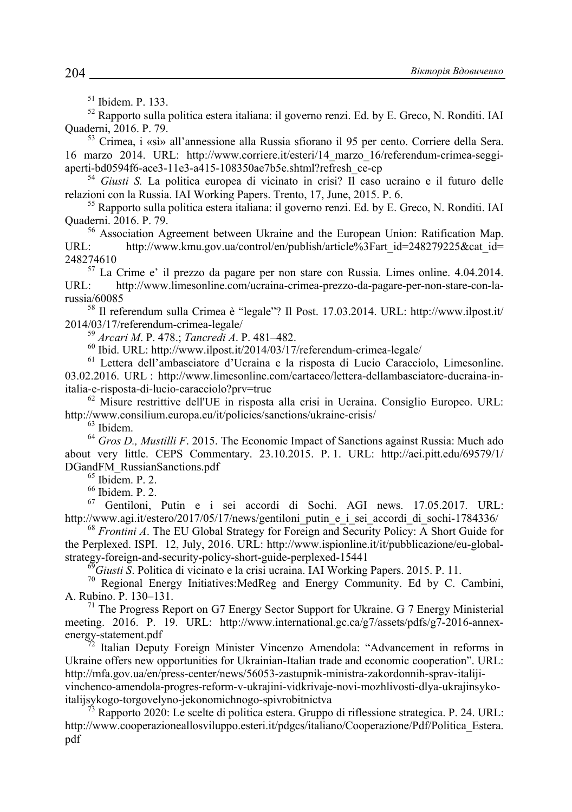$51$  Ibidem P 133.

52 Rapporto sulla politica estera italiana: il governo renzi. Ed. by E. Greco, N. Ronditi. IAI Quaderni, 2016. P. 79. 53 Crimea, i «sì» all'annessione alla Russia sfiorano il 95 per cento. Corriere della Sera.

16 marzo 2014. URL: http://www.corriere.it/esteri/14\_marzo\_16/referendum-crimea-seggi-

aperti-bd0594f6-ace3-11e3-a415-108350ae7b5e.shtml?refresh\_ce-cp<br>
<sup>54</sup> *Giusti S.* La politica europea di vicinato in crisi? Il caso ucraino e il futuro delle<br>
relazioni con la Russia. IAI Working Papers. Trento, 17, June,

 $55$  Rapporto sulla politica estera italiana: il governo renzi. Ed. by E. Greco, N. Ronditi. IAI Quaderni. 2016. P. 79.<br><sup>56</sup> Association Agreement between Ukraine and the European Union: Ratification Map.

URL: http://www.kmu.gov.ua/control/en/publish/article%3Fart\_id=248279225&cat\_id= 248274610<br> $\frac{57}{10}$  La Crime e' il prezzo da pagare per non stare con Russia. Limes online. 4.04.2014.

URL: http://www.limesonline.com/ucraina-crimea-prezzo-da-pagare-per-non-stare-con-larussia/60085 58 Il referendum sulla Crimea è "legale"? Il Post. 17.03.2014. URL: http://www.ilpost.it/

2014/03/17/referendum-crimea-legale/<br><sup>59</sup> *Arcari M.* P. 478.; *Tancredi A.* P. 481–482.<br><sup>60</sup> Ibid. URL: http://www.ilpost.it/2014/03/17/referendum-crimea-legale/<br><sup>61</sup> Lettera dell'ambasciatore d'Ucraina e la risposta di 03.02.2016. URL : http://www.limesonline.com/cartaceo/lettera-dellambasciatore-ducraina-in-<br>italia-e-risposta-di-lucio-caracciolo?prv=true

 $62$  Misure restrittive dell'UE in risposta alla crisi in Ucraina. Consiglio Europeo. URL: http://www.consilium.europa.eu/it/policies/sanctions/ukraine-crisis/ 63 Ibidem.

<sup>64</sup> *Gros D., Mustilli F.* 2015. The Economic Impact of Sanctions against Russia: Much ado about very little. CEPS Commentary. 23.10.2015. P. 1. URL: http://aei.pitt.edu/69579/1/ DGandFM\_RussianSanctions.pdf<br><sup>65</sup> Ibidem. P. 2.

 $^{66}_{67}$  Ibidem. P. 2.

<sup>67</sup> Gentiloni, Putin e i sei accordi di Sochi. AGI news. 17.05.2017. URL:<br>http://www.agi.it/estero/2017/05/17/news/gentiloni putin e i sei accordi di sochi-1784336/

 $h^6$ <sup>68</sup> Frontini A. The EU Global Strategy for Foreign and Security Policy: A Short Guide for the Perplexed. ISPI. 12, July, 2016. URL: http://www.ispionline.it/it/pubblicazione/eu-global-

strategy-foreign-and-security-policy-short-guide-perplexed-15441<br><sup>69</sup>Giusti S. Politica di vicinato e la crisi ucraina. IAI Working Papers. 2015. P. 11.<br><sup>70</sup> Regional Energy Initiatives:MedReg and Energy Community. Ed by C A. Rubino. P. 130–131.<br><sup>71</sup> The Progress Report on G7 Energy Sector Support for Ukraine. G 7 Energy Ministerial

meeting. 2016. P. 19. URL: http://www.international.gc.ca/g7/assets/pdfs/g7-2016-annexenergy-statement.pdf<br><sup>72</sup> Italian Deputy Foreign Minister Vincenzo Amendola: "Advancement in reforms in

Ukraine offers new opportunities for Ukrainian-Italian trade and economic cooperation". URL: http://mfa.gov.ua/en/press-center/news/56053-zastupnik-ministra-zakordonnih-sprav-italiji-

vinchenco-amendola-progres-reform-v-ukrajini-vidkrivaje-novi-mozhlivosti-dlya-ukrajinsyko-

Rapporto 2020: Le scelte di politica estera. Gruppo di riflessione strategica. P. 24. URL: http://www.cooperazioneallosviluppo.esteri.it/pdgcs/italiano/Cooperazione/Pdf/Politica\_Estera. pdf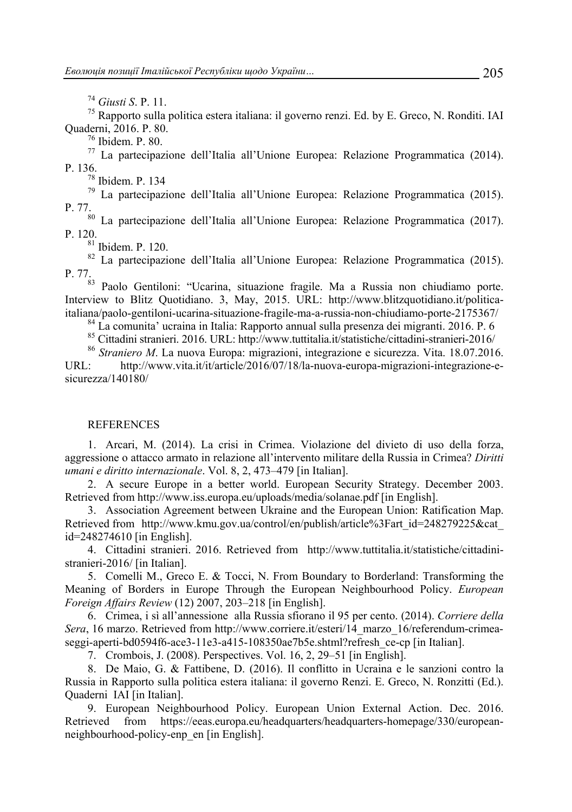<sup>74</sup> *Giusti S*. P. 11. 75 Rapporto sulla politica estera italiana: il governo renzi. Ed. by E. Greco, N. Ronditi. IAI Quaderni, 2016. P. 80.<br><sup>76</sup> Ibidem. P. 80.

77 La partecipazione dell'Italia all'Unione Europea: Relazione Programmatica (2014).

<sup>78</sup> Ibidem. P. 134

79 La partecipazione dell'Italia all'Unione Europea: Relazione Programmatica (2015). P. 77. 80 La partecipazione dell'Italia all'Unione Europea: Relazione Programmatica (2017).

P. 120.<br><sup>81</sup> Ibidem. P. 120.

82 La partecipazione dell'Italia all'Unione Europea: Relazione Programmatica (2015). P. 77.<br><sup>83</sup> Paolo Gentiloni: "Ucarina, situazione fragile. Ma a Russia non chiudiamo porte.

Interview to Blitz Quotidiano. 3, May, 2015. URL: http://www.blitzquotidiano.it/politicaitaliana/paolo-gentiloni-ucarina-situazione-fragile-ma-a-russia-non-chiudiamo-porte-2175367/ 84 La comunita' ucraina in Italia: Rapporto annual sulla presenza dei migranti. 2016. P. 6

85 Cittadini stranieri. 2016. URL: http://www.tuttitalia.it/statistiche/cittadini-stranieri-2016/ 86 *Straniero M*. La nuova Europa: migrazioni, integrazione e sicurezza. Vita. 18.07.2016.

URL: http://www.vita.it/it/article/2016/07/18/la-nuova-europa-migrazioni-integrazione-esicurezza/140180/

#### **REFERENCES**

1. Arcari, M. (2014). La crisi in Crimea. Violazione del divieto di uso della forza, aggressione o attacco armato in relazione all'intervento militare della Russia in Crimea? *Diritti umani e diritto internazionale*. Vol. 8, 2, 473–479 [in Italian].

2. A secure Europe in a better world. European Security Strategy. December 2003. Retrieved from http://www.iss.europa.eu/uploads/media/solanae.pdf [in English].

3. Association Agreement between Ukraine and the European Union: Ratification Map. Retrieved from http://www.kmu.gov.ua/control/en/publish/article%3Fart\_id=248279225&cat id=248274610 [in English].

4. Cittadini stranieri. 2016. Retrieved from http://www.tuttitalia.it/statistiche/cittadinistranieri-2016/ [in Italian].

5. Comelli M., Greco E. & Tocci, N. From Boundary to Borderland: Transforming the Meaning of Borders in Europe Through the European Neighbourhood Policy. *European Foreign Affairs Review* (12) 2007, 203–218 [in English].

6. Crimea, i sì all'annessione alla Russia sfiorano il 95 per cento. (2014). *Corriere della Sera*, 16 marzo. Retrieved from http://www.corriere.it/esteri/14\_marzo\_16/referendum-crimeaseggi-aperti-bd0594f6-ace3-11e3-a415-108350ae7b5e.shtml?refresh\_ce-cp [in Italian].

7. Crombois, J. (2008). Perspectives. Vol. 16, 2, 29–51 [in English].

8. De Maio, G. & Fattibene, D. (2016). Il conflitto in Ucraina e le sanzioni contro la Russia in Rapporto sulla politica estera italiana: il governo Renzi. E. Greco, N. Ronzitti (Ed.). Quaderni IAI [in Italian].

9. European Neighbourhood Policy. European Union External Action. Dec. 2016. Retrieved from https://eeas.europa.eu/headquarters/headquarters-homepage/330/europeanneighbourhood-policy-enp\_en [in English].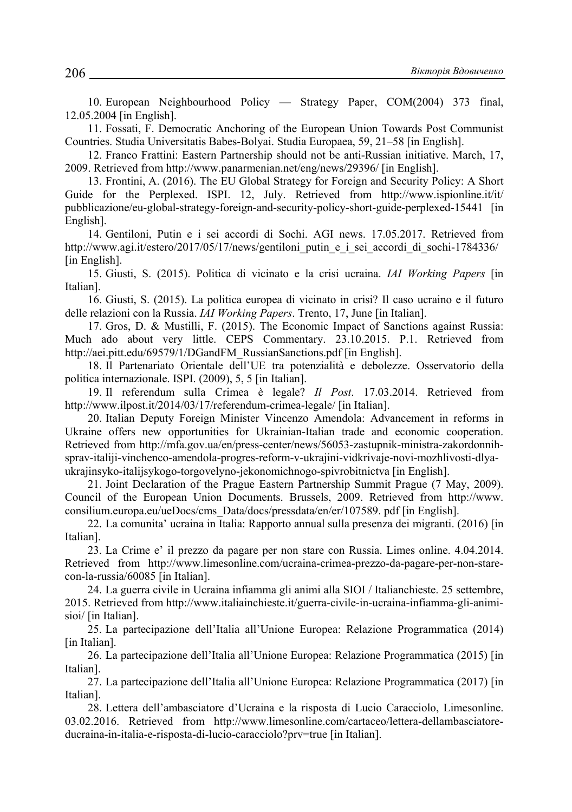10. European Neighbourhood Policy — Strategy Paper, COM(2004) 373 final, 12.05.2004 [in English].

11. Fossati, F. Democratic Anchoring of the European Union Towards Post Communist Countries. Studia Universitatis Babes-Bolyai. Studia Europaea, 59, 21–58 [in English].

12. Franco Frattini: Eastern Partnership should not be anti-Russian initiative. March, 17, 2009. Retrieved from http://www.panarmenian.net/eng/news/29396/ [in English].

13. Frontini, A. (2016). The EU Global Strategy for Foreign and Security Policy: A Short Guide for the Perplexed. ISPI. 12, July. Retrieved from http://www.ispionline.it/it/ pubblicazione/eu-global-strategy-foreign-and-security-policy-short-guide-perplexed-15441 [in English].

14. Gentiloni, Putin e i sei accordi di Sochi. AGI news. 17.05.2017. Retrieved from http://www.agi.it/estero/2017/05/17/news/gentiloni putin e i sei accordi di sochi-1784336/ [in English].

15. Giusti, S. (2015). Politica di vicinato e la crisi ucraina. *IAI Working Papers* [in Italian].

16. Giusti, S. (2015). La politica europea di vicinato in crisi? Il caso ucraino e il futuro delle relazioni con la Russia. *IAI Working Papers*. Trento, 17, June [in Italian].

17. Gros, D. & Mustilli, F. (2015). The Economic Impact of Sanctions against Russia: Much ado about very little. CEPS Commentary. 23.10.2015. P.1. Retrieved from http://aei.pitt.edu/69579/1/DGandFM\_RussianSanctions.pdf [in English].

18. Il Partenariato Orientale dell'UE tra potenzialità e debolezze. Osservatorio della politica internazionale. ISPI. (2009), 5, 5 [in Italian].

19. Il referendum sulla Crimea è legale? *Il Post*. 17.03.2014. Retrieved from http://www.ilpost.it/2014/03/17/referendum-crimea-legale/ [in Italian].

20. Italian Deputy Foreign Minister Vincenzo Amendola: Advancement in reforms in Ukraine offers new opportunities for Ukrainian-Italian trade and economic cooperation. Retrieved from http://mfa.gov.ua/en/press-center/news/56053-zastupnik-ministra-zakordonnihsprav-italiji-vinchenco-amendola-progres-reform-v-ukrajini-vidkrivaje-novi-mozhlivosti-dlyaukrajinsyko-italijsykogo-torgovelyno-jekonomichnogo-spivrobitnictva [in English].

21. Joint Declaration of the Prague Eastern Partnership Summit Prague (7 May, 2009). Council of the European Union Documents. Brussels, 2009. Retrieved from http://www. consilium.europa.eu/ueDocs/cms\_Data/docs/pressdata/en/er/107589. pdf [in English].

22. La comunita' ucraina in Italia: Rapporto annual sulla presenza dei migranti. (2016) [in Italian].

23. La Crime e' il prezzo da pagare per non stare con Russia. Limes online. 4.04.2014. Retrieved from http://www.limesonline.com/ucraina-crimea-prezzo-da-pagare-per-non-starecon-la-russia/60085 [in Italian].

24. La guerra civile in Ucraina infiamma gli animi alla SIOI / Italianchieste. 25 settembre, 2015. Retrieved from http://www.italiainchieste.it/guerra-civile-in-ucraina-infiamma-gli-animisioi/ [in Italian].

25. La partecipazione dell'Italia all'Unione Europea: Relazione Programmatica (2014) [in Italian].

26. La partecipazione dell'Italia all'Unione Europea: Relazione Programmatica (2015) [in Italian].

27. La partecipazione dell'Italia all'Unione Europea: Relazione Programmatica (2017) [in Italian].

28. Lettera dell'ambasciatore d'Ucraina e la risposta di Lucio Caracciolo, Limesonline. 03.02.2016. Retrieved from http://www.limesonline.com/cartaceo/lettera-dellambasciatoreducraina-in-italia-e-risposta-di-lucio-caracciolo?prv=true [in Italian].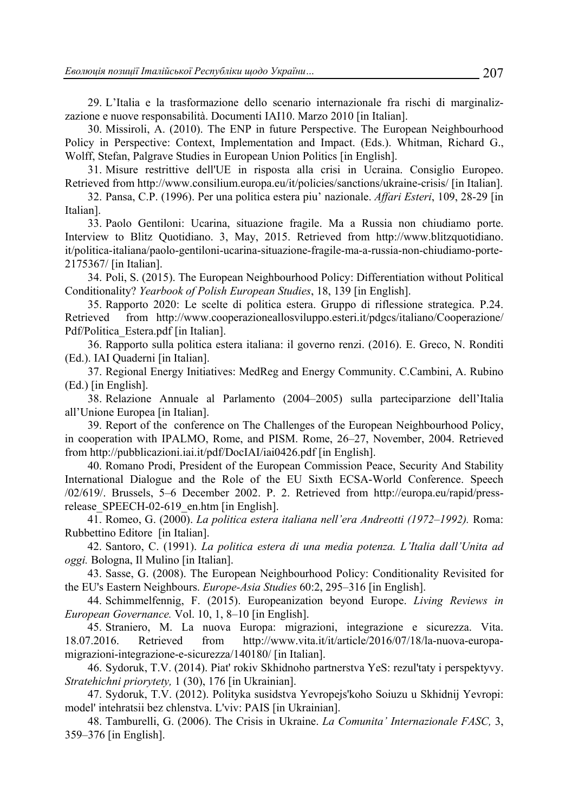29. L'Italia e la trasformazione dello scenario internazionale fra rischi di marginalizzazione e nuove responsabilità. Documenti IAI10. Marzo 2010 [in Italian].

30. Missiroli, A. (2010). The ENP in future Perspective. The European Neighbourhood Policy in Perspective: Context, Implementation and Impact. (Eds.). Whitman, Richard G., Wolff, Stefan, Palgrave Studies in European Union Politics [in English].

31. Misure restrittive dell'UE in risposta alla crisi in Ucraina. Consiglio Europeo. Retrieved from http://www.consilium.europa.eu/it/policies/sanctions/ukraine-crisis/ [in Italian].

32. Pansa, C.P. (1996). Per una politica estera piu' nazionale. *Affari Esteri*, 109, 28-29 [in Italian].

33. Paolo Gentiloni: Ucarina, situazione fragile. Ma a Russia non chiudiamo porte. Interview to Blitz Quotidiano. 3, May, 2015. Retrieved from http://www.blitzquotidiano. it/politica-italiana/paolo-gentiloni-ucarina-situazione-fragile-ma-a-russia-non-chiudiamo-porte-2175367/ [in Italian].

34. Poli, S. (2015). The European Neighbourhood Policy: Differentiation without Political Conditionality? *Yearbook of Polish European Studies*, 18, 139 [in English].

35. Rapporto 2020: Le scelte di politica estera. Gruppo di riflessione strategica. P.24. Retrieved from http://www.cooperazioneallosviluppo.esteri.it/pdgcs/italiano/Cooperazione/ Pdf/Politica\_Estera.pdf [in Italian].

36. Rapporto sulla politica estera italiana: il governo renzi. (2016). E. Greco, N. Ronditi (Ed.). IAI Quaderni [in Italian].

37. Regional Energy Initiatives: MedReg and Energy Community. C.Cambini, A. Rubino (Ed.) [in English].

38. Relazione Annuale al Parlamento (2004–2005) sulla parteciparzione dell'Italia all'Unione Europea [in Italian].

39. Report of the conference on The Challenges of the European Neighbourhood Policy, in cooperation with IPALMO, Rome, and PISM. Rome, 26–27, November, 2004. Retrieved from http://pubblicazioni.iai.it/pdf/DocIAI/iai0426.pdf [in English].

40. Romano Prodi, President of the European Commission Peace, Security And Stability International Dialogue and the Role of the EU Sixth ECSA-World Conference. Speech /02/619/. Brussels, 5–6 December 2002. P. 2. Retrieved from http://europa.eu/rapid/pressrelease SPEECH-02-619 en.htm [in English].

41. Romeo, G. (2000). *La politica estera italiana nell'era Andreotti (1972–1992).* Roma: Rubbettino Editore [in Italian].

42. Santoro, C. (1991). *La politica estera di una media potenza. L'Italia dall'Unita ad oggi.* Bologna, Il Mulino [in Italian].

43. Sasse, G. (2008). The European Neighbourhood Policy: Conditionality Revisited for the EU's Eastern Neighbours. *Europe-Asia Studies* 60:2, 295–316 [in English].

44. Schimmelfennig, F. (2015). Europeanization beyond Europe. *Living Reviews in European Governance.* Vol. 10, 1, 8–10 [in English].

45. Straniero, M. La nuova Europa: migrazioni, integrazione e sicurezza. Vita. 18.07.2016. Retrieved from http://www.vita.it/it/article/2016/07/18/la-nuova-europamigrazioni-integrazione-e-sicurezza/140180/ [in Italian].

46. Sydoruk, T.V. (2014). Piat' rokiv Skhidnoho partnerstva YeS: rezul'taty i perspektyvy. *Stratehichni priorytety,* 1 (30), 176 [in Ukrainian].

47. Sydoruk, T.V. (2012). Polityka susidstva Yevropejs'koho Soiuzu u Skhidnij Yevropi: model' intehratsii bez chlenstva. L'viv: PAIS [in Ukrainian].

48. Tamburelli, G. (2006). The Crisis in Ukraine. *La Comunita' Internazionale FASC,* 3, 359–376 [in English].